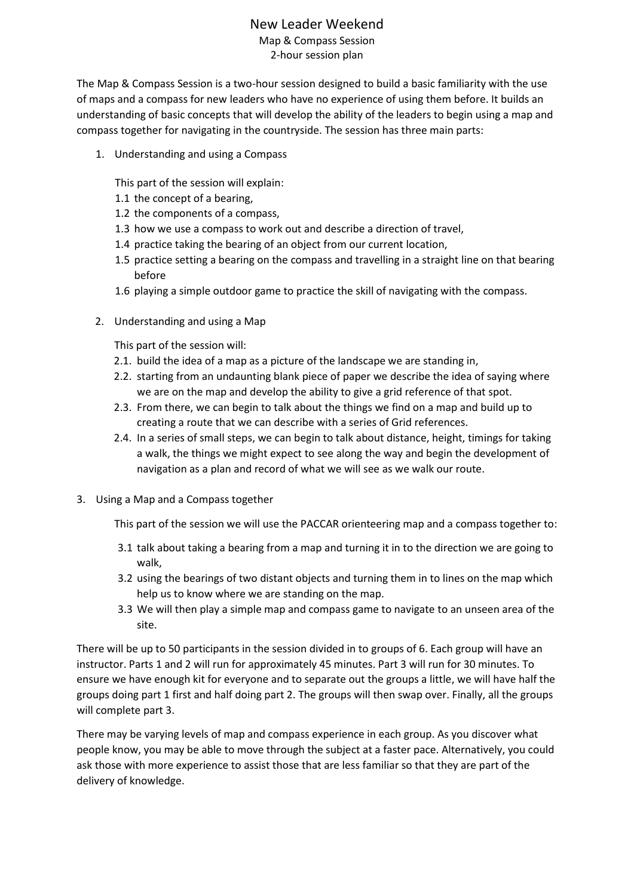# New Leader Weekend

Map & Compass Session 2-hour session plan

The Map & Compass Session is a two-hour session designed to build a basic familiarity with the use of maps and a compass for new leaders who have no experience of using them before. It builds an understanding of basic concepts that will develop the ability of the leaders to begin using a map and compass together for navigating in the countryside. The session has three main parts:

1. Understanding and using a Compass

This part of the session will explain:

- 1.1 the concept of a bearing,
- 1.2 the components of a compass,
- 1.3 how we use a compass to work out and describe a direction of travel,
- 1.4 practice taking the bearing of an object from our current location,
- 1.5 practice setting a bearing on the compass and travelling in a straight line on that bearing before
- 1.6 playing a simple outdoor game to practice the skill of navigating with the compass.
- 2. Understanding and using a Map

This part of the session will:

- 2.1. build the idea of a map as a picture of the landscape we are standing in,
- 2.2. starting from an undaunting blank piece of paper we describe the idea of saying where we are on the map and develop the ability to give a grid reference of that spot.
- 2.3. From there, we can begin to talk about the things we find on a map and build up to creating a route that we can describe with a series of Grid references.
- 2.4. In a series of small steps, we can begin to talk about distance, height, timings for taking a walk, the things we might expect to see along the way and begin the development of navigation as a plan and record of what we will see as we walk our route.
- 3. Using a Map and a Compass together

This part of the session we will use the PACCAR orienteering map and a compass together to:

- 3.1 talk about taking a bearing from a map and turning it in to the direction we are going to walk,
- 3.2 using the bearings of two distant objects and turning them in to lines on the map which help us to know where we are standing on the map.
- 3.3 We will then play a simple map and compass game to navigate to an unseen area of the site.

There will be up to 50 participants in the session divided in to groups of 6. Each group will have an instructor. Parts 1 and 2 will run for approximately 45 minutes. Part 3 will run for 30 minutes. To ensure we have enough kit for everyone and to separate out the groups a little, we will have half the groups doing part 1 first and half doing part 2. The groups will then swap over. Finally, all the groups will complete part 3.

There may be varying levels of map and compass experience in each group. As you discover what people know, you may be able to move through the subject at a faster pace. Alternatively, you could ask those with more experience to assist those that are less familiar so that they are part of the delivery of knowledge.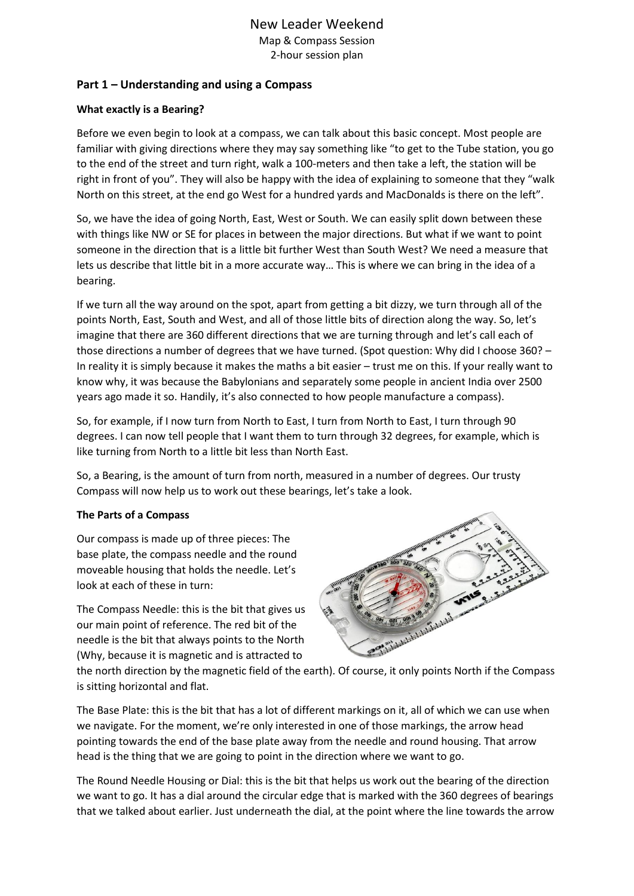### **Part 1 – Understanding and using a Compass**

#### **What exactly is a Bearing?**

Before we even begin to look at a compass, we can talk about this basic concept. Most people are familiar with giving directions where they may say something like "to get to the Tube station, you go to the end of the street and turn right, walk a 100-meters and then take a left, the station will be right in front of you". They will also be happy with the idea of explaining to someone that they "walk North on this street, at the end go West for a hundred yards and MacDonalds is there on the left".

So, we have the idea of going North, East, West or South. We can easily split down between these with things like NW or SE for places in between the major directions. But what if we want to point someone in the direction that is a little bit further West than South West? We need a measure that lets us describe that little bit in a more accurate way… This is where we can bring in the idea of a bearing.

If we turn all the way around on the spot, apart from getting a bit dizzy, we turn through all of the points North, East, South and West, and all of those little bits of direction along the way. So, let's imagine that there are 360 different directions that we are turning through and let's call each of those directions a number of degrees that we have turned. (Spot question: Why did I choose 360? – In reality it is simply because it makes the maths a bit easier – trust me on this. If your really want to know why, it was because the Babylonians and separately some people in ancient India over 2500 years ago made it so. Handily, it's also connected to how people manufacture a compass).

So, for example, if I now turn from North to East, I turn from North to East, I turn through 90 degrees. I can now tell people that I want them to turn through 32 degrees, for example, which is like turning from North to a little bit less than North East.

So, a Bearing, is the amount of turn from north, measured in a number of degrees. Our trusty Compass will now help us to work out these bearings, let's take a look.

#### **The Parts of a Compass**

Our compass is made up of three pieces: The base plate, the compass needle and the round moveable housing that holds the needle. Let's look at each of these in turn:

The Compass Needle: this is the bit that gives us our main point of reference. The red bit of the needle is the bit that always points to the North (Why, because it is magnetic and is attracted to



the north direction by the magnetic field of the earth). Of course, it only points North if the Compass is sitting horizontal and flat.

The Base Plate: this is the bit that has a lot of different markings on it, all of which we can use when we navigate. For the moment, we're only interested in one of those markings, the arrow head pointing towards the end of the base plate away from the needle and round housing. That arrow head is the thing that we are going to point in the direction where we want to go.

The Round Needle Housing or Dial: this is the bit that helps us work out the bearing of the direction we want to go. It has a dial around the circular edge that is marked with the 360 degrees of bearings that we talked about earlier. Just underneath the dial, at the point where the line towards the arrow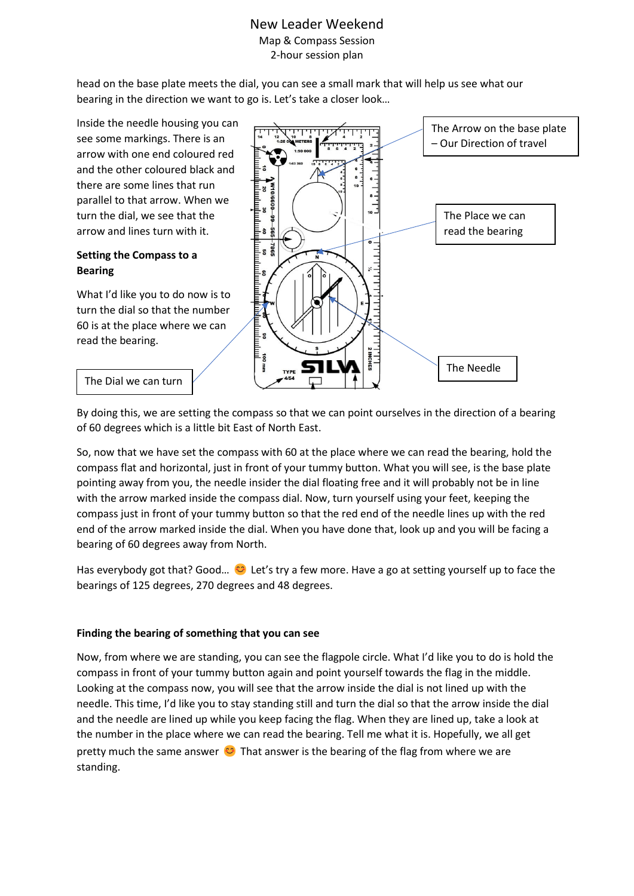head on the base plate meets the dial, you can see a small mark that will help us see what our bearing in the direction we want to go is. Let's take a closer look…

Inside the needle housing you can see some markings. There is an arrow with one end coloured red and the other coloured black and there are some lines that run parallel to that arrow. When we turn the dial, we see that the arrow and lines turn with it.

### **Setting the Compass to a Bearing**

What I'd like you to do now is to turn the dial so that the number 60 is at the place where we can read the bearing.



#### The Dial we can turn

By doing this, we are setting the compass so that we can point ourselves in the direction of a bearing of 60 degrees which is a little bit East of North East.

So, now that we have set the compass with 60 at the place where we can read the bearing, hold the compass flat and horizontal, just in front of your tummy button. What you will see, is the base plate pointing away from you, the needle insider the dial floating free and it will probably not be in line with the arrow marked inside the compass dial. Now, turn yourself using your feet, keeping the compass just in front of your tummy button so that the red end of the needle lines up with the red end of the arrow marked inside the dial. When you have done that, look up and you will be facing a bearing of 60 degrees away from North.

Has everybody got that? Good...  $\bullet$  Let's try a few more. Have a go at setting yourself up to face the bearings of 125 degrees, 270 degrees and 48 degrees.

#### **Finding the bearing of something that you can see**

Now, from where we are standing, you can see the flagpole circle. What I'd like you to do is hold the compass in front of your tummy button again and point yourself towards the flag in the middle. Looking at the compass now, you will see that the arrow inside the dial is not lined up with the needle. This time, I'd like you to stay standing still and turn the dial so that the arrow inside the dial and the needle are lined up while you keep facing the flag. When they are lined up, take a look at the number in the place where we can read the bearing. Tell me what it is. Hopefully, we all get pretty much the same answer  $\odot$  That answer is the bearing of the flag from where we are standing.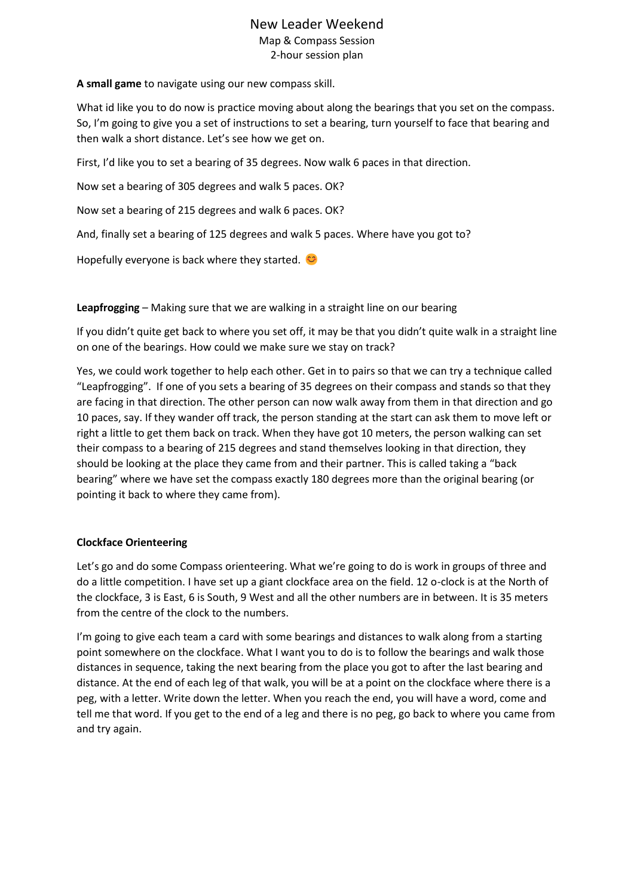**A small game** to navigate using our new compass skill.

What id like you to do now is practice moving about along the bearings that you set on the compass. So, I'm going to give you a set of instructions to set a bearing, turn yourself to face that bearing and then walk a short distance. Let's see how we get on.

First, I'd like you to set a bearing of 35 degrees. Now walk 6 paces in that direction.

Now set a bearing of 305 degrees and walk 5 paces. OK?

Now set a bearing of 215 degrees and walk 6 paces. OK?

And, finally set a bearing of 125 degrees and walk 5 paces. Where have you got to?

Hopefully everyone is back where they started.  $\heartsuit$ 

**Leapfrogging** – Making sure that we are walking in a straight line on our bearing

If you didn't quite get back to where you set off, it may be that you didn't quite walk in a straight line on one of the bearings. How could we make sure we stay on track?

Yes, we could work together to help each other. Get in to pairs so that we can try a technique called "Leapfrogging". If one of you sets a bearing of 35 degrees on their compass and stands so that they are facing in that direction. The other person can now walk away from them in that direction and go 10 paces, say. If they wander off track, the person standing at the start can ask them to move left or right a little to get them back on track. When they have got 10 meters, the person walking can set their compass to a bearing of 215 degrees and stand themselves looking in that direction, they should be looking at the place they came from and their partner. This is called taking a "back bearing" where we have set the compass exactly 180 degrees more than the original bearing (or pointing it back to where they came from).

#### **Clockface Orienteering**

Let's go and do some Compass orienteering. What we're going to do is work in groups of three and do a little competition. I have set up a giant clockface area on the field. 12 o-clock is at the North of the clockface, 3 is East, 6 is South, 9 West and all the other numbers are in between. It is 35 meters from the centre of the clock to the numbers.

I'm going to give each team a card with some bearings and distances to walk along from a starting point somewhere on the clockface. What I want you to do is to follow the bearings and walk those distances in sequence, taking the next bearing from the place you got to after the last bearing and distance. At the end of each leg of that walk, you will be at a point on the clockface where there is a peg, with a letter. Write down the letter. When you reach the end, you will have a word, come and tell me that word. If you get to the end of a leg and there is no peg, go back to where you came from and try again.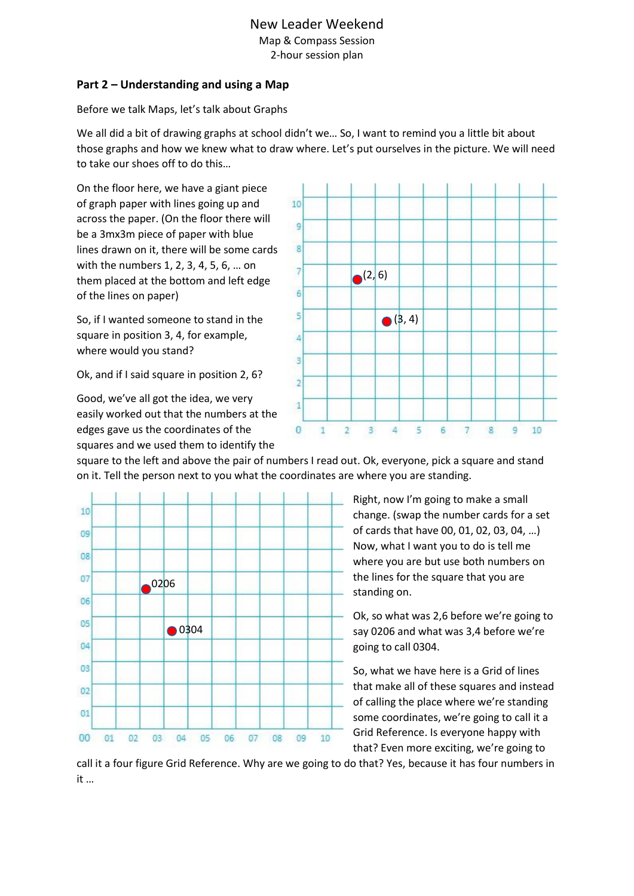### **Part 2 – Understanding and using a Map**

Before we talk Maps, let's talk about Graphs

We all did a bit of drawing graphs at school didn't we... So, I want to remind you a little bit about those graphs and how we knew what to draw where. Let's put ourselves in the picture. We will need to take our shoes off to do this…

On the floor here, we have a giant piece of graph paper with lines going up and across the paper. (On the floor there will be a 3mx3m piece of paper with blue lines drawn on it, there will be some cards with the numbers 1, 2, 3, 4, 5, 6, … on them placed at the bottom and left edge of the lines on paper)

So, if I wanted someone to stand in the square in position 3, 4, for example, where would you stand?

Ok, and if I said square in position 2, 6?

Good, we've all got the idea, we very easily worked out that the numbers at the edges gave us the coordinates of the squares and we used them to identify the



square to the left and above the pair of numbers I read out. Ok, everyone, pick a square and stand on it. Tell the person next to you what the coordinates are where you are standing.

10  $09$ 08  $07$ 020606 05 ● 0304  $04$ 03  $02$  $01$  $00$ 01  $02$ 04 10  $03$ 05 06 07  $08$  $09$ 

Right, now I'm going to make a small change. (swap the number cards for a set of cards that have 00, 01, 02, 03, 04, …) Now, what I want you to do is tell me where you are but use both numbers on the lines for the square that you are standing on.

Ok, so what was 2,6 before we're going to say 0206 and what was 3,4 before we're going to call 0304.

So, what we have here is a Grid of lines that make all of these squares and instead of calling the place where we're standing some coordinates, we're going to call it a Grid Reference. Is everyone happy with that? Even more exciting, we're going to

call it a four figure Grid Reference. Why are we going to do that? Yes, because it has four numbers in it …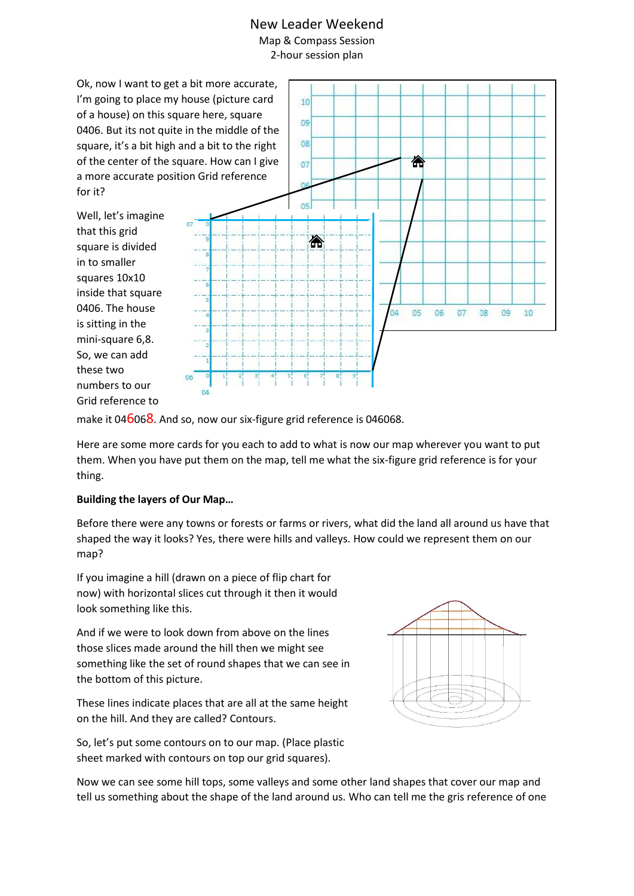Ok, now I want to get a bit more accurate, I'm going to place my house (picture card of a house) on this square here, square 0406. But its not quite in the middle of the square, it's a bit high and a bit to the right of the center of the square. How can I give a more accurate position Grid reference for it?

Well, let's imagine that this grid square is divided in to smaller squares 10x10 inside that square 0406. The house is sitting in the mini-square 6,8. So, we can add these two numbers to our Grid reference to



make it 046068. And so, now our six-figure grid reference is 046068.

Here are some more cards for you each to add to what is now our map wherever you want to put them. When you have put them on the map, tell me what the six-figure grid reference is for your thing.

#### **Building the layers of Our Map…**

Before there were any towns or forests or farms or rivers, what did the land all around us have that shaped the way it looks? Yes, there were hills and valleys. How could we represent them on our map?

If you imagine a hill (drawn on a piece of flip chart for now) with horizontal slices cut through it then it would look something like this.

And if we were to look down from above on the lines those slices made around the hill then we might see something like the set of round shapes that we can see in the bottom of this picture.

These lines indicate places that are all at the same height on the hill. And they are called? Contours.

So, let's put some contours on to our map. (Place plastic sheet marked with contours on top our grid squares).



Now we can see some hill tops, some valleys and some other land shapes that cover our map and tell us something about the shape of the land around us. Who can tell me the gris reference of one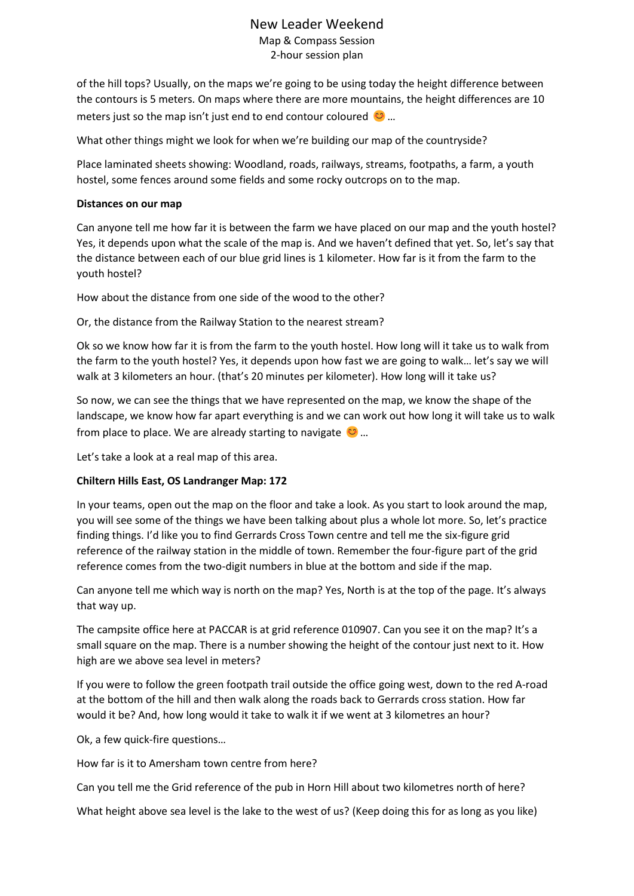# New Leader Weekend Map & Compass Session

2-hour session plan

of the hill tops? Usually, on the maps we're going to be using today the height difference between the contours is 5 meters. On maps where there are more mountains, the height differences are 10 meters just so the map isn't just end to end contour coloured  $\heartsuit$ ...

What other things might we look for when we're building our map of the countryside?

Place laminated sheets showing: Woodland, roads, railways, streams, footpaths, a farm, a youth hostel, some fences around some fields and some rocky outcrops on to the map.

#### **Distances on our map**

Can anyone tell me how far it is between the farm we have placed on our map and the youth hostel? Yes, it depends upon what the scale of the map is. And we haven't defined that yet. So, let's say that the distance between each of our blue grid lines is 1 kilometer. How far is it from the farm to the youth hostel?

How about the distance from one side of the wood to the other?

Or, the distance from the Railway Station to the nearest stream?

Ok so we know how far it is from the farm to the youth hostel. How long will it take us to walk from the farm to the youth hostel? Yes, it depends upon how fast we are going to walk… let's say we will walk at 3 kilometers an hour. (that's 20 minutes per kilometer). How long will it take us?

So now, we can see the things that we have represented on the map, we know the shape of the landscape, we know how far apart everything is and we can work out how long it will take us to walk from place to place. We are already starting to navigate  $\heartsuit$ ...

Let's take a look at a real map of this area.

### **Chiltern Hills East, OS Landranger Map: 172**

In your teams, open out the map on the floor and take a look. As you start to look around the map, you will see some of the things we have been talking about plus a whole lot more. So, let's practice finding things. I'd like you to find Gerrards Cross Town centre and tell me the six-figure grid reference of the railway station in the middle of town. Remember the four-figure part of the grid reference comes from the two-digit numbers in blue at the bottom and side if the map.

Can anyone tell me which way is north on the map? Yes, North is at the top of the page. It's always that way up.

The campsite office here at PACCAR is at grid reference 010907. Can you see it on the map? It's a small square on the map. There is a number showing the height of the contour just next to it. How high are we above sea level in meters?

If you were to follow the green footpath trail outside the office going west, down to the red A-road at the bottom of the hill and then walk along the roads back to Gerrards cross station. How far would it be? And, how long would it take to walk it if we went at 3 kilometres an hour?

Ok, a few quick-fire questions…

How far is it to Amersham town centre from here?

Can you tell me the Grid reference of the pub in Horn Hill about two kilometres north of here?

What height above sea level is the lake to the west of us? (Keep doing this for as long as you like)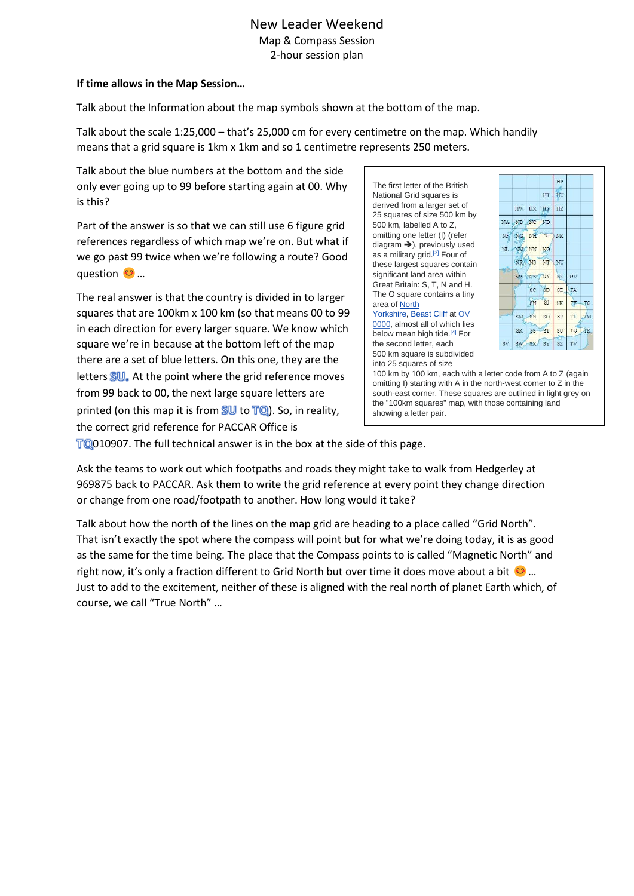#### **If time allows in the Map Session…**

Talk about the Information about the map symbols shown at the bottom of the map.

Talk about the scale 1:25,000 – that's 25,000 cm for every centimetre on the map. Which handily means that a grid square is 1km x 1km and so 1 centimetre represents 250 meters.

Talk about the blue numbers at the bottom and the side only ever going up to 99 before starting again at 00. Why is this?

Part of the answer is so that we can still use 6 figure grid references regardless of which map we're on. But what if we go past 99 twice when we're following a route? Good question <del>∷</del> …

The real answer is that the country is divided in to larger squares that are 100km x 100 km (so that means 00 to 99 in each direction for every larger square. We know which square we're in because at the bottom left of the map there are a set of blue letters. On this one, they are the letters  $\mathbb{SU}_{\bullet}$ . At the point where the grid reference moves from 99 back to 00, the next large square letters are printed (on this map it is from  $SU$  to  $TO$ ). So, in reality, the correct grid reference for PACCAR Office is

The first letter of the British National Grid squares is derived from a larger set of 25 squares of size 500 km by 500 km, labelled A to Z, omitting one letter (I) (refer diagram ➔), previously used as a military grid.<sup>[\[3\]](https://en.wikipedia.org/wiki/Ordnance_Survey_National_Grid#cite_note-3)</sup> Four of these largest squares contain significant land area within Great Britain: S, T, N and H. The O square contains a tiny area of [North](https://en.wikipedia.org/wiki/North_Yorkshire)  [Yorkshire,](https://en.wikipedia.org/wiki/North_Yorkshire) [Beast Cliff](https://en.wikipedia.org/wiki/Beast_Cliff) at OV [0000,](https://geohack.toolforge.org/geohack.php?pagename=Ordnance_Survey_National_Grid¶ms=54.385678764135_N_0.46166034386492_W_region:GB) almost all of which lies below mean high tide.<sup>[\[4\]](https://en.wikipedia.org/wiki/Ordnance_Survey_National_Grid#cite_note-4)</sup> For the second letter, each 500 km square is subdivided into 25 squares of size



100 km by 100 km, each with a letter code from A to Z (again omitting I) starting with A in the north-west corner to Z in the south-east corner. These squares are outlined in light grey on the "100km squares" map, with those containing land showing a letter pair.

TQ010907. The full technical answer is in the box at the side of this page.

Ask the teams to work out which footpaths and roads they might take to walk from Hedgerley at 969875 back to PACCAR. Ask them to write the grid reference at every point they change direction or change from one road/footpath to another. How long would it take?

Talk about how the north of the lines on the map grid are heading to a place called "Grid North". That isn't exactly the spot where the compass will point but for what we're doing today, it is as good as the same for the time being. The place that the Compass points to is called "Magnetic North" and right now, it's only a fraction different to Grid North but over time it does move about a bit  $\bigcirc$  ... Just to add to the excitement, neither of these is aligned with the real north of planet Earth which, of course, we call "True North" …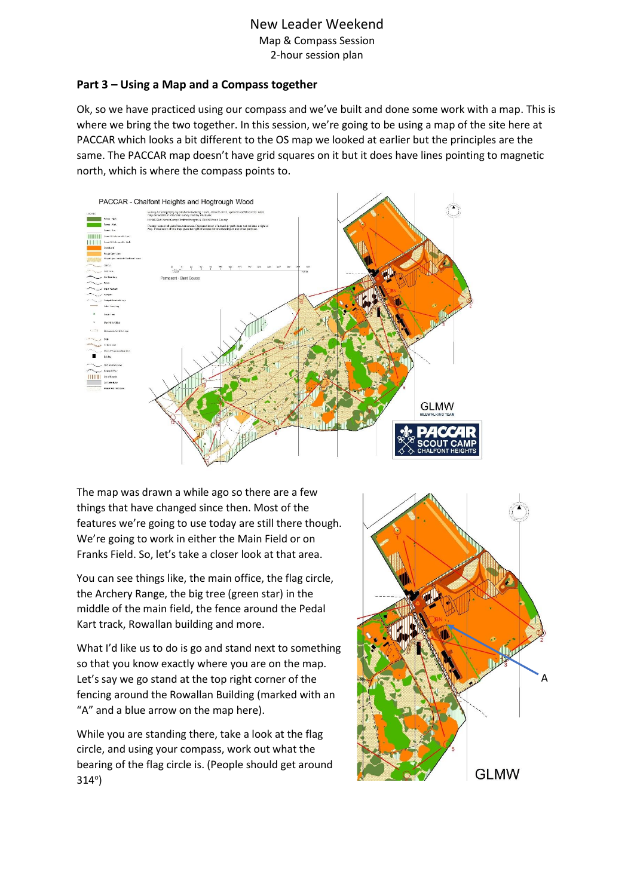# New Leader Weekend

Map & Compass Session 2-hour session plan

### **Part 3 – Using a Map and a Compass together**

Ok, so we have practiced using our compass and we've built and done some work with a map. This is where we bring the two together. In this session, we're going to be using a map of the site here at PACCAR which looks a bit different to the OS map we looked at earlier but the principles are the same. The PACCAR map doesn't have grid squares on it but it does have lines pointing to magnetic north, which is where the compass points to.



The map was drawn a while ago so there are a few things that have changed since then. Most of the features we're going to use today are still there though. We're going to work in either the Main Field or on Franks Field. So, let's take a closer look at that area.

You can see things like, the main office, the flag circle, the Archery Range, the big tree (green star) in the middle of the main field, the fence around the Pedal Kart track, Rowallan building and more.

What I'd like us to do is go and stand next to something so that you know exactly where you are on the map. Let's say we go stand at the top right corner of the fencing around the Rowallan Building (marked with an "A" and a blue arrow on the map here).

While you are standing there, take a look at the flag circle, and using your compass, work out what the bearing of the flag circle is. (People should get around 314°)

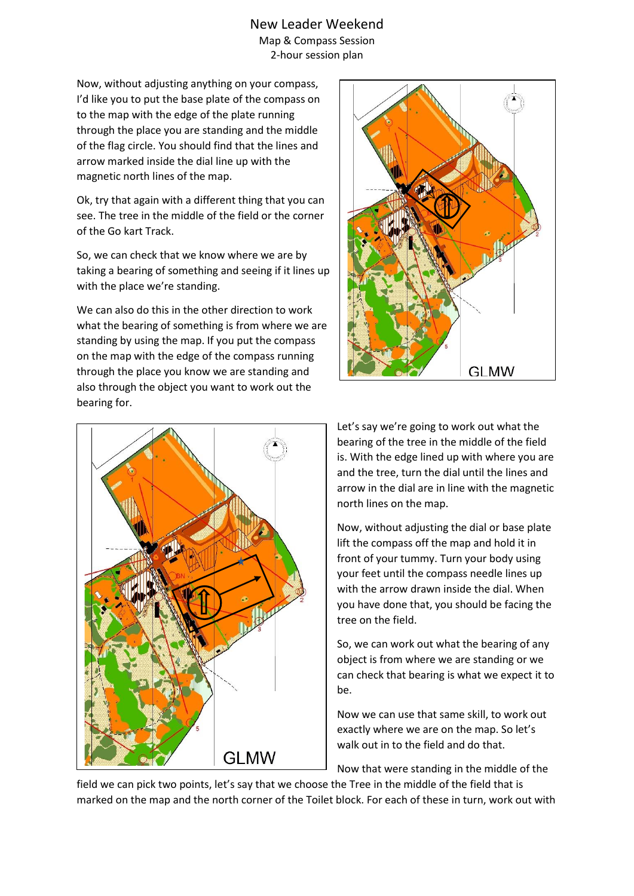Now, without adjusting anything on your compass, I'd like you to put the base plate of the compass on to the map with the edge of the plate running through the place you are standing and the middle of the flag circle. You should find that the lines and arrow marked inside the dial line up with the magnetic north lines of the map.

Ok, try that again with a different thing that you can see. The tree in the middle of the field or the corner of the Go kart Track.

So, we can check that we know where we are by taking a bearing of something and seeing if it lines up with the place we're standing.

We can also do this in the other direction to work what the bearing of something is from where we are standing by using the map. If you put the compass on the map with the edge of the compass running through the place you know we are standing and also through the object you want to work out the bearing for.





Let's say we're going to work out what the bearing of the tree in the middle of the field is. With the edge lined up with where you are and the tree, turn the dial until the lines and arrow in the dial are in line with the magnetic north lines on the map.

Now, without adjusting the dial or base plate lift the compass off the map and hold it in front of your tummy. Turn your body using your feet until the compass needle lines up with the arrow drawn inside the dial. When you have done that, you should be facing the tree on the field.

So, we can work out what the bearing of any object is from where we are standing or we can check that bearing is what we expect it to be.

Now we can use that same skill, to work out exactly where we are on the map. So let's walk out in to the field and do that.

Now that were standing in the middle of the

field we can pick two points, let's say that we choose the Tree in the middle of the field that is marked on the map and the north corner of the Toilet block. For each of these in turn, work out with